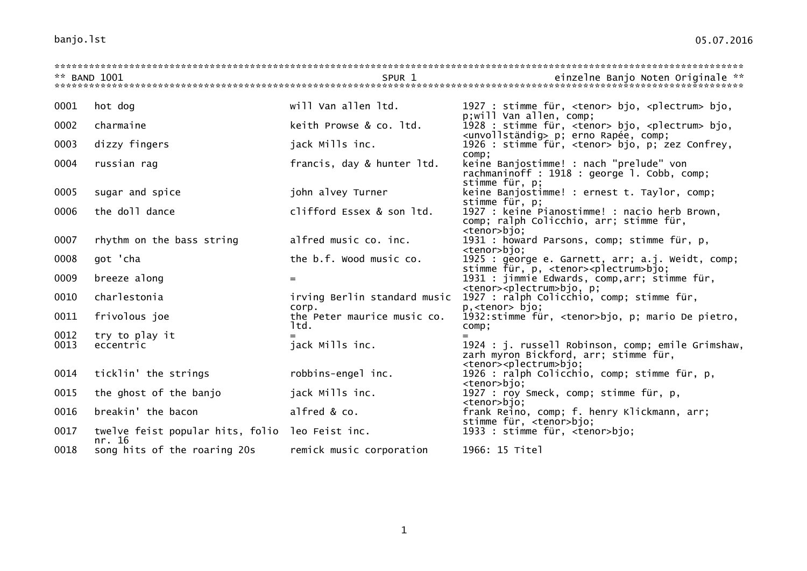| banjo.lst |  |  |  |
|-----------|--|--|--|
|           |  |  |  |

| 0001         | hot dog                                                   | will Van allen 1td.                   | 1927 : stimme für, <tenor> bjo, <plectrum> bjo,<br/>p;will Van allen, comp;</plectrum></tenor>                                                           |
|--------------|-----------------------------------------------------------|---------------------------------------|----------------------------------------------------------------------------------------------------------------------------------------------------------|
| 0002         | charmaine                                                 | keith Prowse & co. 1td.               | 1928 : stimme für, <tenor> bjo, <plectrum> bjo,<br/><unvollständig> p; erno Rapée, comp;</unvollständig></plectrum></tenor>                              |
| 0003         | dizzy fingers                                             | jack Mills inc.                       | 1926 : stimme fur, <tenor> bjo, p; zez Confrey,<br/>comp;</tenor>                                                                                        |
| 0004         | russian raq                                               | francis, day & hunter 1td.            | keine Banjostimme! : nach "prelude" von<br>rachmaninoff : 1918 : george 1. Cobb, comp;<br>stimme für, p;                                                 |
| 0005         | sugar and spice                                           | john alvey Turner                     | keine Banjostimme! : ernest t. Taylor, comp;                                                                                                             |
| 0006         | the doll dance                                            | clifford Essex & son 1td.             | stimme für, p;<br>1927 : keine Pianostimme! : nacio herb Brown,<br>comp; ralph Colicchio, arr; stimme für,<br><tenor>bjo;</tenor>                        |
| 0007         | rhythm on the bass string                                 | alfred music co. inc.                 | 1931 : howard Parsons, comp; stimme für, p,<br><tenor>bjo;</tenor>                                                                                       |
| 0008         | got 'cha                                                  | the b.f. wood music co.               | 1925 : george e. Garnett, arr; a.j. Weidt, comp;                                                                                                         |
| 0009         | breeze along                                              | $=$                                   | stimme für, p, <tenor><plectrum>bjo;<br/>1931 : jimmie Edwards, comp,arr; stimme für,<br/><tenor><plectrum>bjo, p;</plectrum></tenor></plectrum></tenor> |
| 0010         | charlestonia                                              | irving Berlin standard music<br>corp. | 1927 : ralph Colicchio, comp; stimme fur,<br>p, <tenor>bjo;</tenor>                                                                                      |
| 0011         | frivolous joe                                             | the Peter maurice music co.<br>ltd.   | 1932: stimme für, <tenor>bjo, p; mario De pietro,<br/>comp;</tenor>                                                                                      |
| 0012<br>0013 | try to play it<br>eccentric                               | jack Mills inc.                       | 1924 : j. russell Robinson, comp; emile Grimshaw,<br>zarh myron Bickford, arr; stimme für,                                                               |
| 0014         | ticklin' the strings                                      | robbins-engel inc.                    | <tenor><plectrum>bjo;<br/>1926 : ralph Colicchio, comp; stimme fur, p,</plectrum></tenor>                                                                |
| 0015         | the ghost of the banjo                                    | jack Mills inc.                       | <tenor>bjo;<br/>1927 : roy Smeck, comp; stimme für, p,</tenor>                                                                                           |
| 0016         | breakin' the bacon                                        | alfred & co.                          | <tenor>bjo;<br/>frank Reino, comp; f. henry Klickmann, arr;<br/>stimme für, <tenor>bjo;</tenor></tenor>                                                  |
| 0017         | twelve feist popular hits, folio leo Feist inc.<br>nr. 16 |                                       | 1933 : stimme für, <tenor>bjo;</tenor>                                                                                                                   |
| 0018         | song hits of the roaring 20s                              | remick music corporation              | 1966: 15 Titel                                                                                                                                           |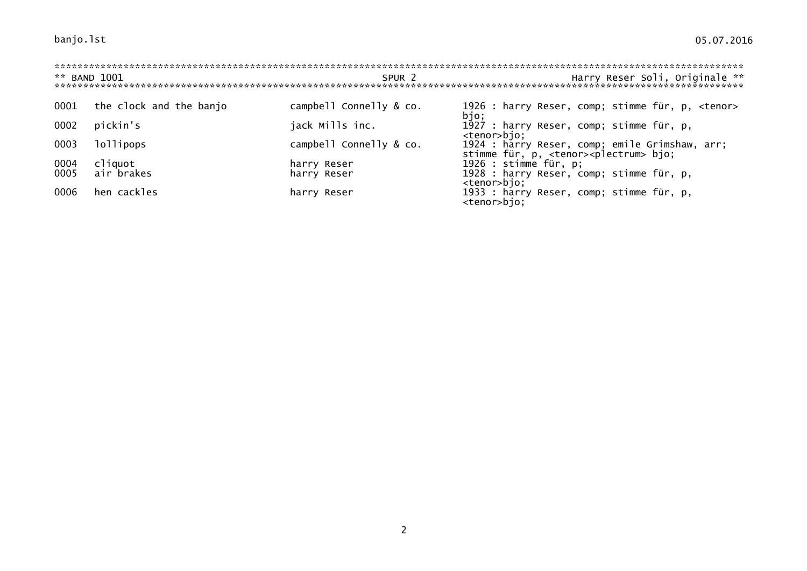| ** BAND 1001 |                         | SPUR <sub>2</sub>       | Harry Reser Soli, Originale **                                                                             |
|--------------|-------------------------|-------------------------|------------------------------------------------------------------------------------------------------------|
| 0001         | the clock and the banjo | campbell Connelly & co. | 1926 : harry Reser, comp; stimme für, p, <tenor><br/>bjo;</tenor>                                          |
| 0002         | pickin's                | jack Mills inc.         | 1927 : harry Reser, comp; stimme für, p,<br><tenor>bjo;</tenor>                                            |
| 0003         | lollipops               | campbell Connelly & co. | 1924 : harry Reser, comp; emile Grimshaw, arr;<br>stimme für, p, <tenor><plectrum> bjo;</plectrum></tenor> |
| 0004         | cliquot                 | harry Reser             | 1926 : stimme fur, p;                                                                                      |
| 0005         | air brakes              | harry Reser             | 1928 : harry Reser, comp; stimme fur, p,                                                                   |
| 0006         | hen cackles             | harry Reser             | <tenor>bjo;<br/>1933 : harry Reser, comp; stimme für, p,<br/><tenor>bjo;</tenor></tenor>                   |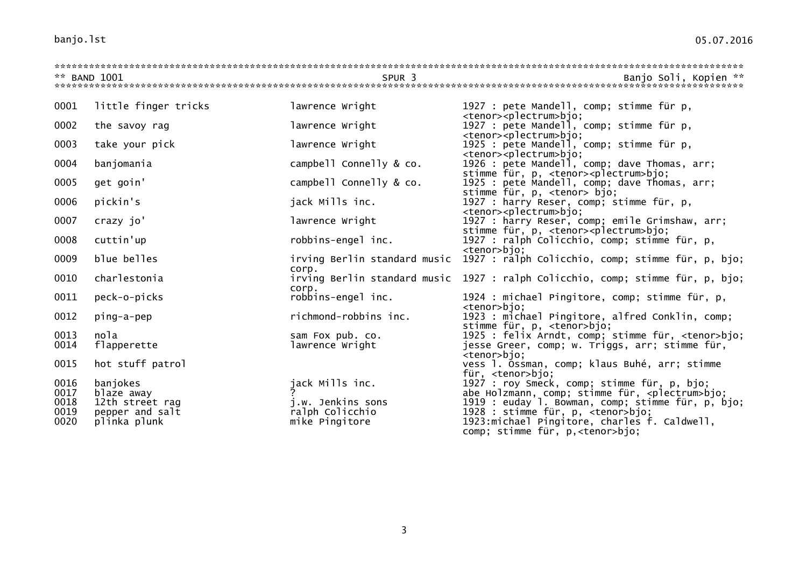| ** BAND 1001 |                        | SPUR <sub>3</sub>       | Banjo Soli, Kopien **                                                                                    |
|--------------|------------------------|-------------------------|----------------------------------------------------------------------------------------------------------|
|              |                        |                         |                                                                                                          |
| 0001         | little finger tricks   | lawrence Wright         | 1927 : pete Mandell, comp; stimme für p,                                                                 |
|              |                        |                         | <tenor><plectrum>bjo;</plectrum></tenor>                                                                 |
| 0002         | the savoy rag          | lawrence Wright         | 1927 : pete Mandell, comp; stimme fur p,                                                                 |
| 0003         | take your pick         | lawrence Wright         | <tenor><plectrum>bjo;<br/>1925 : pete Mandell, comp; stimme fur p,</plectrum></tenor>                    |
|              |                        |                         | <tenor><plectrum>bjo;</plectrum></tenor>                                                                 |
| 0004         | banjomania             | campbell Connelly & co. | 1926 : pete Mandell, comp; dave Thomas, arr;                                                             |
|              |                        |                         | stimme für, p, <tenor><plectrum>bjo;</plectrum></tenor>                                                  |
| 0005         | get goin'              | campbell Connelly & co. | 1925 : pete Mandell, comp; dave Thomas, arr;                                                             |
| 0006         | pickin's               | jack Mills inc.         | stimme für, p, <tenor> bjo;</tenor>                                                                      |
|              |                        |                         | 1927 : harry Reser, comp; stimme für, p,<br><tenor><plectrum>bjo;</plectrum></tenor>                     |
| 0007         | crazy jo'              | lawrence Wright         | 1927 : harry Reser, comp; emile Grimshaw, arr;                                                           |
|              |                        |                         | stimme für, p, <tenor><plectrum>bjo;</plectrum></tenor>                                                  |
| 0008         | cuttin'up              | robbins-engel inc.      | 1927 : ralph Colicchio, comp; stimme fur, p,                                                             |
|              | blue belles            |                         | <tenor>bjo;</tenor>                                                                                      |
| 0009         |                        | corp.                   | irving Berlin standard music 1927 : ralph Colicchio, comp; stimme für, p, bjo;                           |
| 0010         | charlestonia           |                         | irving Berlin standard music 1927 : ralph Colicchio, comp; stimme für, p, bjo;                           |
|              |                        | corp.                   |                                                                                                          |
| 0011         | peck-o-picks           | robbins-engel inc.      | 1924 : michael Pingitore, comp; stimme für, p,                                                           |
|              |                        |                         | <tenor>bjo;</tenor>                                                                                      |
| 0012         | ping-a-pep             | richmond-robbins inc.   | 1923 : michael Pingitore, alfred Conklin, comp;                                                          |
| 0013         | nola                   | sam Fox pub. co.        | stimme für, p, <tenor>bjo;<br/>1925 : felix Arndt, comp; stimme fur, <tenor>bjo;</tenor></tenor>         |
| 0014         | flapperette            | lawrence Wright         | jesse Greer, comp; w. Triggs, arr; stimme für,                                                           |
|              |                        |                         | <tenor>bjo;</tenor>                                                                                      |
| 0015         | hot stuff patrol       |                         | vess 1. Ossman, comp; klaus Buhé, arr; stimme                                                            |
|              |                        |                         | für, <tenor>bjo;</tenor>                                                                                 |
| 0016<br>0017 | banjokes<br>blaze away | jack Mills inc.         | 1927 : roy Smeck, comp; stimme für, p, bjo;<br>abe Holzmann, comp; stimme fur, <plectrum>bjo;</plectrum> |
| 0018         | 12th street rag        | j.w. Jenkins sons       | 1919 : euday 1. Bowman, comp; stimme fur, p, bjo;                                                        |
| 0019         | pepper and salt        | ralph Colicchio         | 1928 : stimme für, p, <tenor>bjo;</tenor>                                                                |
| 0020         | plinka plunk           | mike Pingitore          | 1923: michael Pingitore, charles f. Caldwell,                                                            |
|              |                        |                         | comp; stimme für, p, <tenor>bjo;</tenor>                                                                 |